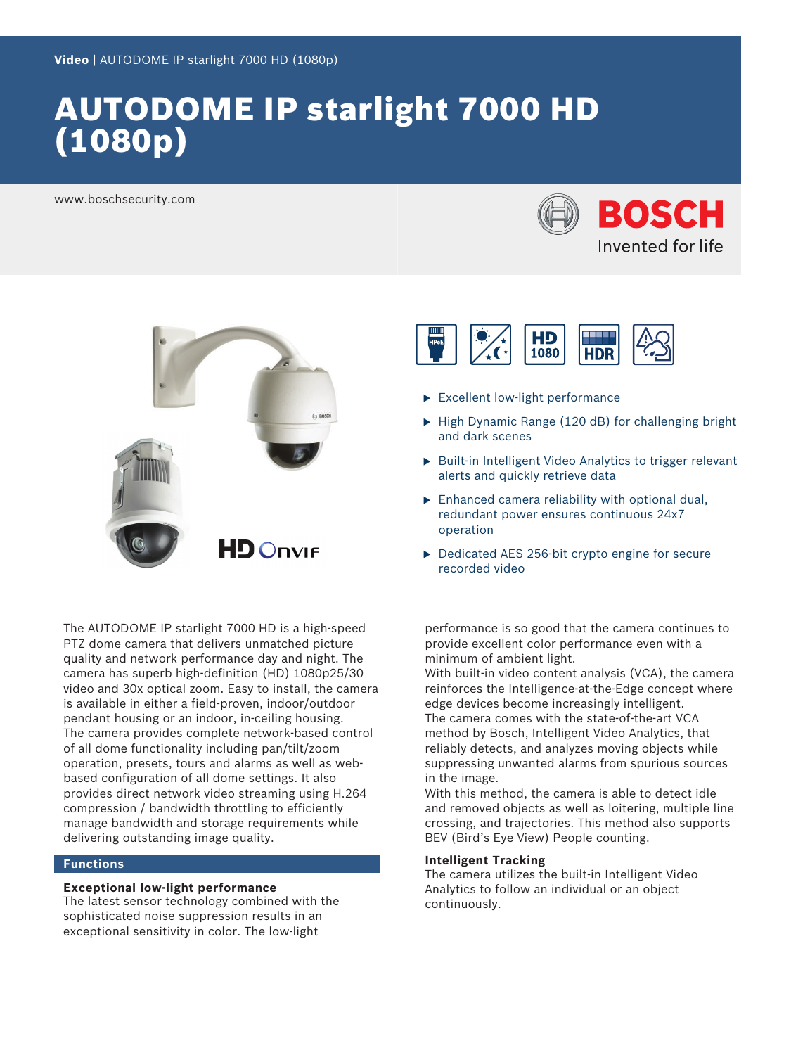# AUTODOME IP starlight 7000 HD (1080p)

www.boschsecurity.com





The AUTODOME IP starlight 7000 HD is a high-speed PTZ dome camera that delivers unmatched picture quality and network performance day and night. The camera has superb high-definition (HD) 1080p25/30 video and 30x optical zoom. Easy to install, the camera is available in either a field-proven, indoor/outdoor pendant housing or an indoor, in-ceiling housing. The camera provides complete network-based control of all dome functionality including pan/tilt/zoom operation, presets, tours and alarms as well as webbased configuration of all dome settings. It also provides direct network video streaming using H.264 compression / bandwidth throttling to efficiently manage bandwidth and storage requirements while delivering outstanding image quality.

### **Functions**

### **Exceptional low-light performance**

The latest sensor technology combined with the sophisticated noise suppression results in an exceptional sensitivity in color. The low-light



- $\blacktriangleright$  Excellent low-light performance
- $\blacktriangleright$  High Dynamic Range (120 dB) for challenging bright and dark scenes
- $\triangleright$  Built-in Intelligent Video Analytics to trigger relevant alerts and quickly retrieve data
- $\triangleright$  Enhanced camera reliability with optional dual, redundant power ensures continuous 24x7 operation
- $\blacktriangleright$  Dedicated AES 256-bit crypto engine for secure recorded video

performance is so good that the camera continues to provide excellent color performance even with a minimum of ambient light.

With built-in video content analysis (VCA), the camera reinforces the Intelligence-at-the-Edge concept where edge devices become increasingly intelligent. The camera comes with the state-of-the-art VCA method by Bosch, Intelligent Video Analytics, that reliably detects, and analyzes moving objects while suppressing unwanted alarms from spurious sources in the image.

With this method, the camera is able to detect idle and removed objects as well as loitering, multiple line crossing, and trajectories. This method also supports BEV (Bird's Eye View) People counting.

### **Intelligent Tracking**

The camera utilizes the built-in Intelligent Video Analytics to follow an individual or an object continuously.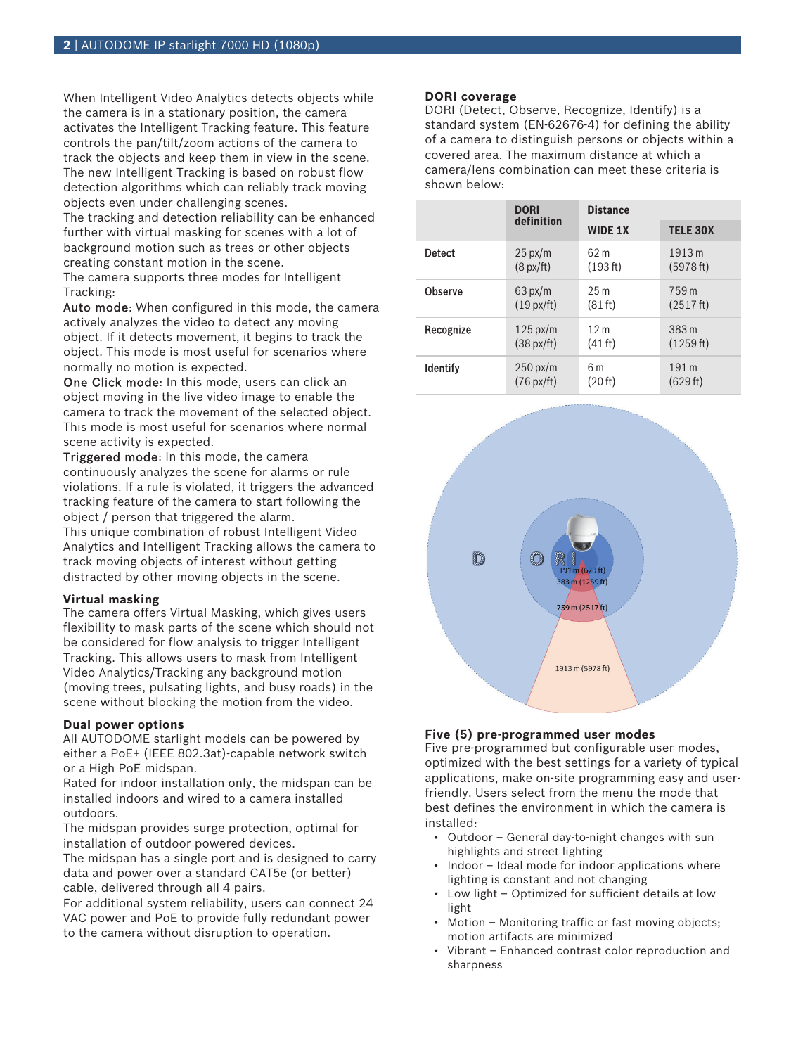When Intelligent Video Analytics detects objects while the camera is in a stationary position, the camera activates the Intelligent Tracking feature. This feature controls the pan/tilt/zoom actions of the camera to track the objects and keep them in view in the scene. The new Intelligent Tracking is based on robust flow detection algorithms which can reliably track moving objects even under challenging scenes.

The tracking and detection reliability can be enhanced further with virtual masking for scenes with a lot of background motion such as trees or other objects creating constant motion in the scene.

The camera supports three modes for Intelligent Tracking:

Auto mode: When configured in this mode, the camera actively analyzes the video to detect any moving object. If it detects movement, it begins to track the object. This mode is most useful for scenarios where normally no motion is expected.

One Click mode: In this mode, users can click an object moving in the live video image to enable the camera to track the movement of the selected object. This mode is most useful for scenarios where normal scene activity is expected.

Triggered mode: In this mode, the camera continuously analyzes the scene for alarms or rule violations. If a rule is violated, it triggers the advanced tracking feature of the camera to start following the object / person that triggered the alarm.

This unique combination of robust Intelligent Video Analytics and Intelligent Tracking allows the camera to track moving objects of interest without getting distracted by other moving objects in the scene.

#### **Virtual masking**

The camera offers Virtual Masking, which gives users flexibility to mask parts of the scene which should not be considered for flow analysis to trigger Intelligent Tracking. This allows users to mask from Intelligent Video Analytics/Tracking any background motion (moving trees, pulsating lights, and busy roads) in the scene without blocking the motion from the video.

### **Dual power options**

All AUTODOME starlight models can be powered by either a PoE+ (IEEE 802.3at)-capable network switch or a High PoE midspan.

Rated for indoor installation only, the midspan can be installed indoors and wired to a camera installed outdoors.

The midspan provides surge protection, optimal for installation of outdoor powered devices.

The midspan has a single port and is designed to carry data and power over a standard CAT5e (or better) cable, delivered through all 4 pairs.

For additional system reliability, users can connect 24 VAC power and PoE to provide fully redundant power to the camera without disruption to operation.

### **DORI coverage**

DORI (Detect, Observe, Recognize, Identify) is a standard system (EN-62676-4) for defining the ability of a camera to distinguish persons or objects within a covered area. The maximum distance at which a camera/lens combination can meet these criteria is shown below:

|                 | <b>DORI</b><br>definition | <b>Distance</b>   |                 |
|-----------------|---------------------------|-------------------|-----------------|
|                 |                           | <b>WIDE 1X</b>    | <b>TELE 30X</b> |
| Detect          | $25 \text{ px/m}$         | 62 m              | 1913 m          |
|                 | $(8$ px/ft)               | (193 ft)          | (5978 ft)       |
| Observe         | $63 \text{ px/m}$         | 25m               | 759 m           |
|                 | $(19 \text{ px/ft})$      | (81 ft)           | (2517 ft)       |
| Recognize       | $125 \text{ px/m}$        | 12 <sub>m</sub>   | 383 m           |
|                 | $(38 \text{ px/ft})$      | $(41 \text{ ft})$ | (1259 ft)       |
| <b>Identify</b> | $250 \text{ px/m}$        | 6 m               | 191 m           |
|                 | $(76 \text{ px/ft})$      | (20 ft)           | (629 ft)        |



### **Five (5) pre-programmed user modes**

Five pre-programmed but configurable user modes, optimized with the best settings for a variety of typical applications, make on-site programming easy and userfriendly. Users select from the menu the mode that best defines the environment in which the camera is installed:

- Outdoor General day-to-night changes with sun highlights and street lighting
- Indoor Ideal mode for indoor applications where lighting is constant and not changing
- Low light Optimized for sufficient details at low light
- Motion Monitoring traffic or fast moving objects; motion artifacts are minimized
- Vibrant Enhanced contrast color reproduction and sharpness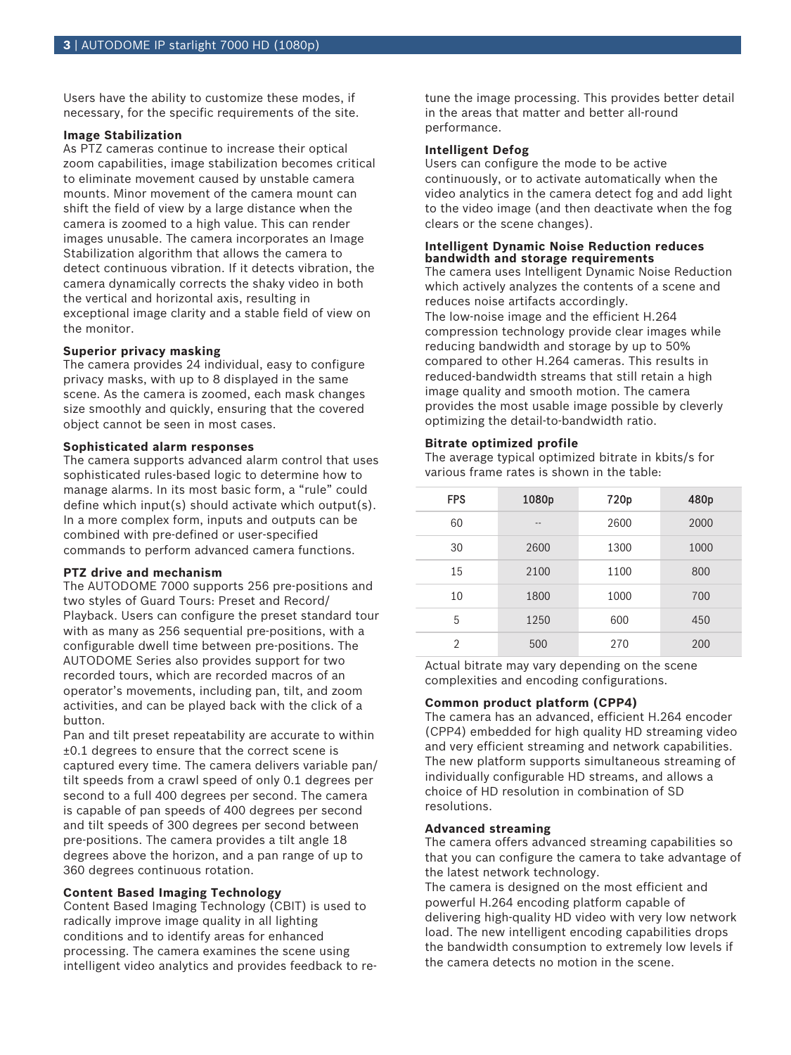Users have the ability to customize these modes, if necessary, for the specific requirements of the site.

#### **Image Stabilization**

As PTZ cameras continue to increase their optical zoom capabilities, image stabilization becomes critical to eliminate movement caused by unstable camera mounts. Minor movement of the camera mount can shift the field of view by a large distance when the camera is zoomed to a high value. This can render images unusable. The camera incorporates an Image Stabilization algorithm that allows the camera to detect continuous vibration. If it detects vibration, the camera dynamically corrects the shaky video in both the vertical and horizontal axis, resulting in exceptional image clarity and a stable field of view on the monitor.

### **Superior privacy masking**

The camera provides 24 individual, easy to configure privacy masks, with up to 8 displayed in the same scene. As the camera is zoomed, each mask changes size smoothly and quickly, ensuring that the covered object cannot be seen in most cases.

### **Sophisticated alarm responses**

The camera supports advanced alarm control that uses sophisticated rules-based logic to determine how to manage alarms. In its most basic form, a "rule" could define which input(s) should activate which output(s). In a more complex form, inputs and outputs can be combined with pre-defined or user-specified commands to perform advanced camera functions.

### **PTZ drive and mechanism**

The AUTODOME 7000 supports 256 pre-positions and two styles of Guard Tours: Preset and Record/ Playback. Users can configure the preset standard tour with as many as 256 sequential pre-positions, with a configurable dwell time between pre-positions. The AUTODOME Series also provides support for two recorded tours, which are recorded macros of an operator's movements, including pan, tilt, and zoom activities, and can be played back with the click of a button.

Pan and tilt preset repeatability are accurate to within ±0.1 degrees to ensure that the correct scene is captured every time. The camera delivers variable pan/ tilt speeds from a crawl speed of only 0.1 degrees per second to a full 400 degrees per second. The camera is capable of pan speeds of 400 degrees per second and tilt speeds of 300 degrees per second between pre-positions. The camera provides a tilt angle 18 degrees above the horizon, and a pan range of up to 360 degrees continuous rotation.

# **Content Based Imaging Technology**

Content Based Imaging Technology (CBIT) is used to radically improve image quality in all lighting conditions and to identify areas for enhanced processing. The camera examines the scene using intelligent video analytics and provides feedback to retune the image processing. This provides better detail in the areas that matter and better all-round performance.

### **Intelligent Defog**

Users can configure the mode to be active continuously, or to activate automatically when the video analytics in the camera detect fog and add light to the video image (and then deactivate when the fog clears or the scene changes).

### **Intelligent Dynamic Noise Reduction reduces bandwidth and storage requirements**

The camera uses Intelligent Dynamic Noise Reduction which actively analyzes the contents of a scene and reduces noise artifacts accordingly. The low-noise image and the efficient H.264 compression technology provide clear images while reducing bandwidth and storage by up to 50% compared to other H.264 cameras. This results in reduced-bandwidth streams that still retain a high image quality and smooth motion. The camera provides the most usable image possible by cleverly optimizing the detail-to-bandwidth ratio.

### **Bitrate optimized profile**

The average typical optimized bitrate in kbits/s for various frame rates is shown in the table:

| <b>FPS</b> | 1080p | 720p | 480p |
|------------|-------|------|------|
| 60         | --    | 2600 | 2000 |
| 30         | 2600  | 1300 | 1000 |
| 15         | 2100  | 1100 | 800  |
| 10         | 1800  | 1000 | 700  |
| 5          | 1250  | 600  | 450  |
| 2          | 500   | 270  | 200  |

Actual bitrate may vary depending on the scene complexities and encoding configurations.

### **Common product platform (CPP4)**

The camera has an advanced, efficient H.264 encoder (CPP4) embedded for high quality HD streaming video and very efficient streaming and network capabilities. The new platform supports simultaneous streaming of individually configurable HD streams, and allows a choice of HD resolution in combination of SD resolutions.

#### **Advanced streaming**

The camera offers advanced streaming capabilities so that you can configure the camera to take advantage of the latest network technology.

The camera is designed on the most efficient and powerful H.264 encoding platform capable of delivering high-quality HD video with very low network load. The new intelligent encoding capabilities drops the bandwidth consumption to extremely low levels if the camera detects no motion in the scene.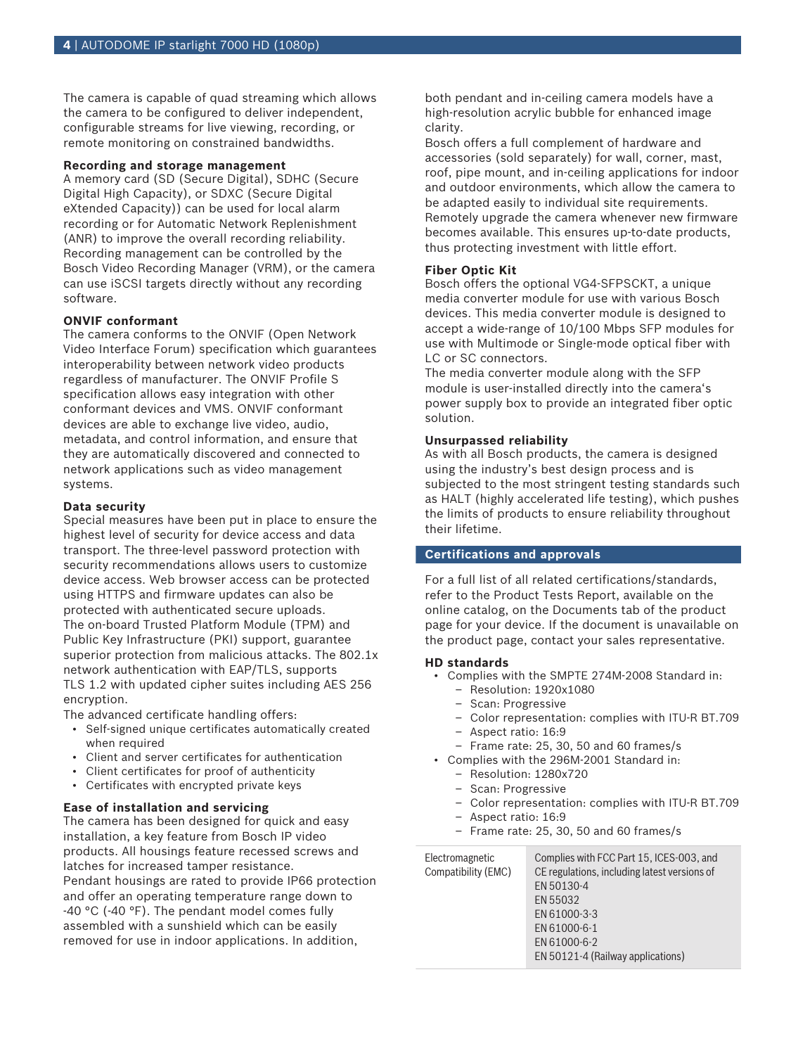The camera is capable of quad streaming which allows the camera to be configured to deliver independent, configurable streams for live viewing, recording, or remote monitoring on constrained bandwidths.

### **Recording and storage management**

A memory card (SD (Secure Digital), SDHC (Secure Digital High Capacity), or SDXC (Secure Digital eXtended Capacity)) can be used for local alarm recording or for Automatic Network Replenishment (ANR) to improve the overall recording reliability. Recording management can be controlled by the Bosch Video Recording Manager (VRM), or the camera can use iSCSI targets directly without any recording software.

### **ONVIF conformant**

The camera conforms to the ONVIF (Open Network Video Interface Forum) specification which guarantees interoperability between network video products regardless of manufacturer. The ONVIF Profile S specification allows easy integration with other conformant devices and VMS. ONVIF conformant devices are able to exchange live video, audio, metadata, and control information, and ensure that they are automatically discovered and connected to network applications such as video management systems.

#### **Data security**

Special measures have been put in place to ensure the highest level of security for device access and data transport. The three-level password protection with security recommendations allows users to customize device access. Web browser access can be protected using HTTPS and firmware updates can also be protected with authenticated secure uploads. The on-board Trusted Platform Module (TPM) and Public Key Infrastructure (PKI) support, guarantee superior protection from malicious attacks. The 802.1x network authentication with EAP/TLS, supports TLS 1.2 with updated cipher suites including AES 256 encryption.

The advanced certificate handling offers:

- Self-signed unique certificates automatically created when required
- Client and server certificates for authentication
- Client certificates for proof of authenticity
- Certificates with encrypted private keys

#### **Ease of installation and servicing**

The camera has been designed for quick and easy installation, a key feature from Bosch IP video products. All housings feature recessed screws and latches for increased tamper resistance. Pendant housings are rated to provide IP66 protection and offer an operating temperature range down to -40 °C (-40 °F). The pendant model comes fully assembled with a sunshield which can be easily removed for use in indoor applications. In addition,

both pendant and in-ceiling camera models have a high-resolution acrylic bubble for enhanced image clarity.

Bosch offers a full complement of hardware and accessories (sold separately) for wall, corner, mast, roof, pipe mount, and in-ceiling applications for indoor and outdoor environments, which allow the camera to be adapted easily to individual site requirements. Remotely upgrade the camera whenever new firmware becomes available. This ensures up-to-date products, thus protecting investment with little effort.

### **Fiber Optic Kit**

Bosch offers the optional VG4-SFPSCKT, a unique media converter module for use with various Bosch devices. This media converter module is designed to accept a wide-range of 10/100 Mbps SFP modules for use with Multimode or Single-mode optical fiber with LC or SC connectors.

The media converter module along with the SFP module is user-installed directly into the camera's power supply box to provide an integrated fiber optic solution.

#### **Unsurpassed reliability**

As with all Bosch products, the camera is designed using the industry's best design process and is subjected to the most stringent testing standards such as HALT (highly accelerated life testing), which pushes the limits of products to ensure reliability throughout their lifetime.

# **Certifications and approvals**

For a full list of all related certifications/standards, refer to the Product Tests Report, available on the online catalog, on the Documents tab of the product page for your device. If the document is unavailable on the product page, contact your sales representative.

#### **HD standards**

- Complies with the SMPTE 274M-2008 Standard in:
	- Resolution: 1920x1080
	- Scan: Progressive
	- Color representation: complies with ITU-R BT.709
	- Aspect ratio: 16:9
	- Frame rate: 25, 30, 50 and 60 frames/s
- Complies with the 296M-2001 Standard in:
	- Resolution: 1280x720
	- Scan: Progressive
	- Color representation: complies with ITU-R BT.709
	- Aspect ratio: 16:9
	- Frame rate: 25, 30, 50 and 60 frames/s

| Electromagnetic     | Complies with FCC Part 15, ICES-003, and     |  |
|---------------------|----------------------------------------------|--|
| Compatibility (EMC) | CE regulations, including latest versions of |  |
|                     | EN 50130-4                                   |  |
|                     | EN 55032                                     |  |
|                     | EN 61000-3-3                                 |  |
|                     | EN 61000-6-1                                 |  |
|                     | EN 61000-6-2                                 |  |
|                     | EN 50121-4 (Railway applications)            |  |
|                     |                                              |  |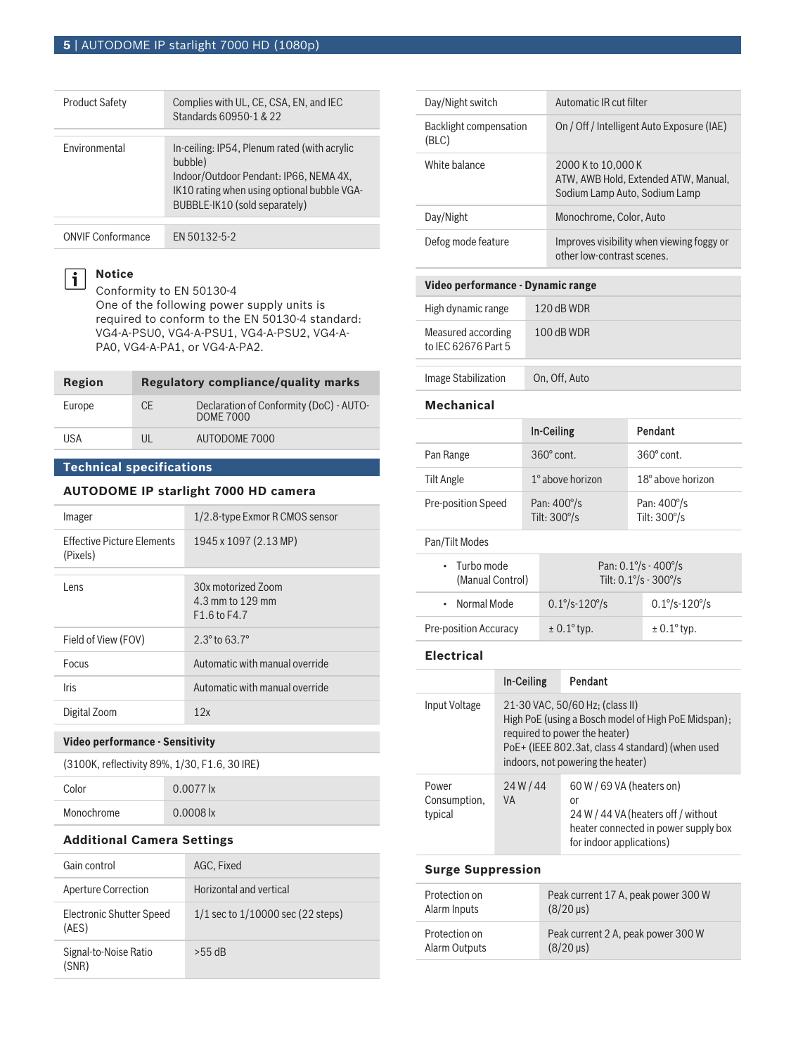# **5** | AUTODOME IP starlight 7000 HD (1080p)

| <b>Product Safety</b> | Complies with UL, CE, CSA, EN, and IEC<br>Standards 60950-1 & 22                                                                                                                  |
|-----------------------|-----------------------------------------------------------------------------------------------------------------------------------------------------------------------------------|
| Environmental         | In-ceiling: IP54, Plenum rated (with acrylic<br>bubble)<br>Indoor/Outdoor Pendant: IP66, NEMA 4X,<br>IK10 rating when using optional bubble VGA-<br>BUBBLE-IK10 (sold separately) |
|                       |                                                                                                                                                                                   |

ONVIF Conformance EN 50132-5-2

# **Notice**

 $\boxed{\mathbf{i}}$ 

Conformity to EN 50130-4 One of the following power supply units is required to conform to the EN 50130-4 standard: VG4-A-PSU0, VG4-A-PSU1, VG4-A-PSU2, VG4-A-PA0, VG4-A-PA1, or VG4-A-PA2.

| Region |           | Regulatory compliance/quality marks                         |
|--------|-----------|-------------------------------------------------------------|
| Europe | <b>CE</b> | Declaration of Conformity (DoC) - AUTO-<br><b>DOME 7000</b> |
| USA    | UL        | AUTODOME 7000                                               |

# **Technical specifications**

# **AUTODOME IP starlight 7000 HD camera**

| Imager                                        | 1/2.8-type Exmor R CMOS sensor                             |
|-----------------------------------------------|------------------------------------------------------------|
| <b>Effective Picture Flements</b><br>(Pixels) | 1945 x 1097 (2.13 MP)                                      |
| l ens                                         | 30x motorized Zoom<br>4.3 mm to 129 mm<br>$F1.6$ to $F4.7$ |
| Field of View (FOV)                           | $2.3^{\circ}$ to 63.7 $^{\circ}$                           |
| Focus                                         | Automatic with manual override                             |
| <b>Iris</b>                                   | Automatic with manual override                             |
| Digital Zoom                                  | 12x                                                        |
|                                               |                                                            |

# **Video performance - Sensitivity**

| (3100K, reflectivity 89%, 1/30, F1.6, 30 IRE) |  |
|-----------------------------------------------|--|
|-----------------------------------------------|--|

| Color      | $0.0077$ lx              |
|------------|--------------------------|
| Monochrome | $0.0008$ $\vert x \vert$ |

## **Additional Camera Settings**

| Gain control                      | AGC, Fixed                            |
|-----------------------------------|---------------------------------------|
| Aperture Correction               | Horizontal and vertical               |
| Electronic Shutter Speed<br>(AES) | $1/1$ sec to $1/10000$ sec (22 steps) |
| Signal-to-Noise Ratio<br>(SNR)    | $>55$ dB                              |

| Day/Night switch                | Automatic IR cut filter                                                                     |
|---------------------------------|---------------------------------------------------------------------------------------------|
| Backlight compensation<br>(BLC) | On / Off / Intelligent Auto Exposure (IAE)                                                  |
| White balance                   | 2000 K to 10,000 K<br>ATW, AWB Hold, Extended ATW, Manual,<br>Sodium Lamp Auto, Sodium Lamp |
| Day/Night                       | Monochrome, Color, Auto                                                                     |
| Defog mode feature              | Improves visibility when viewing foggy or<br>other low-contrast scenes.                     |

# **Video performance ‑ Dynamic range**

| High dynamic range                        | $120$ dB WDR  |
|-------------------------------------------|---------------|
| Measured according<br>to IFC 62676 Part 5 | $100$ dB WDR  |
| <b>Image Stabilization</b>                | On, Off, Auto |

# **Mechanical**

|                                        | In-Ceiling                                    | Pendant                                       |  |
|----------------------------------------|-----------------------------------------------|-----------------------------------------------|--|
| Pan Range                              | $360^\circ$ cont.                             | $360^\circ$ cont.                             |  |
| Tilt Angle                             | 1° above horizon                              | 18° above horizon                             |  |
| Pre-position Speed                     | Pan: $400^{\circ}/s$<br>Tilt: $300^{\circ}/s$ | Pan: $400^{\circ}/s$<br>Tilt: $300^{\circ}/s$ |  |
| Pan/Tilt Modes                         |                                               |                                               |  |
| $\cdot$ Turbo mode<br>(Manual Control) |                                               | Pan: $0.1\% - 400\%$<br>Tilt: $0.1\% - 300\%$ |  |
| Normal Mode<br>٠                       | $0.1^{\circ}/s - 120^{\circ}/s$               | $0.1\% - 120\%$                               |  |
| <b>Pre-position Accuracy</b>           | $\pm$ 0.1 $\degree$ typ.                      | $\pm$ 0.1 $\degree$ typ.                      |  |
|                                        |                                               |                                               |  |

# **Electrical**

|                                  | In-Ceiling                                                                                                                                                                                                       | Pendant                                                                                                                                    |  |
|----------------------------------|------------------------------------------------------------------------------------------------------------------------------------------------------------------------------------------------------------------|--------------------------------------------------------------------------------------------------------------------------------------------|--|
| Input Voltage                    | 21-30 VAC, 50/60 Hz; (class II)<br>High PoE (using a Bosch model of High PoE Midspan);<br>required to power the heater)<br>PoE+ (IEEE 802.3at, class 4 standard) (when used<br>indoors, not powering the heater) |                                                                                                                                            |  |
| Power<br>Consumption,<br>typical | 24W/44<br><b>VA</b>                                                                                                                                                                                              | 60 W / 69 VA (heaters on)<br>or<br>24 W / 44 VA (heaters off / without<br>heater connected in power supply box<br>for indoor applications) |  |
| Cusso Cussosofiae                |                                                                                                                                                                                                                  |                                                                                                                                            |  |

#### **Surge Suppression**

| Protection on | Peak current 17 A, peak power 300 W |
|---------------|-------------------------------------|
| Alarm Inputs  | $(8/20 \,\mu s)$                    |
| Protection on | Peak current 2 A, peak power 300 W  |
| Alarm Outputs | $(8/20 \,\mu s)$                    |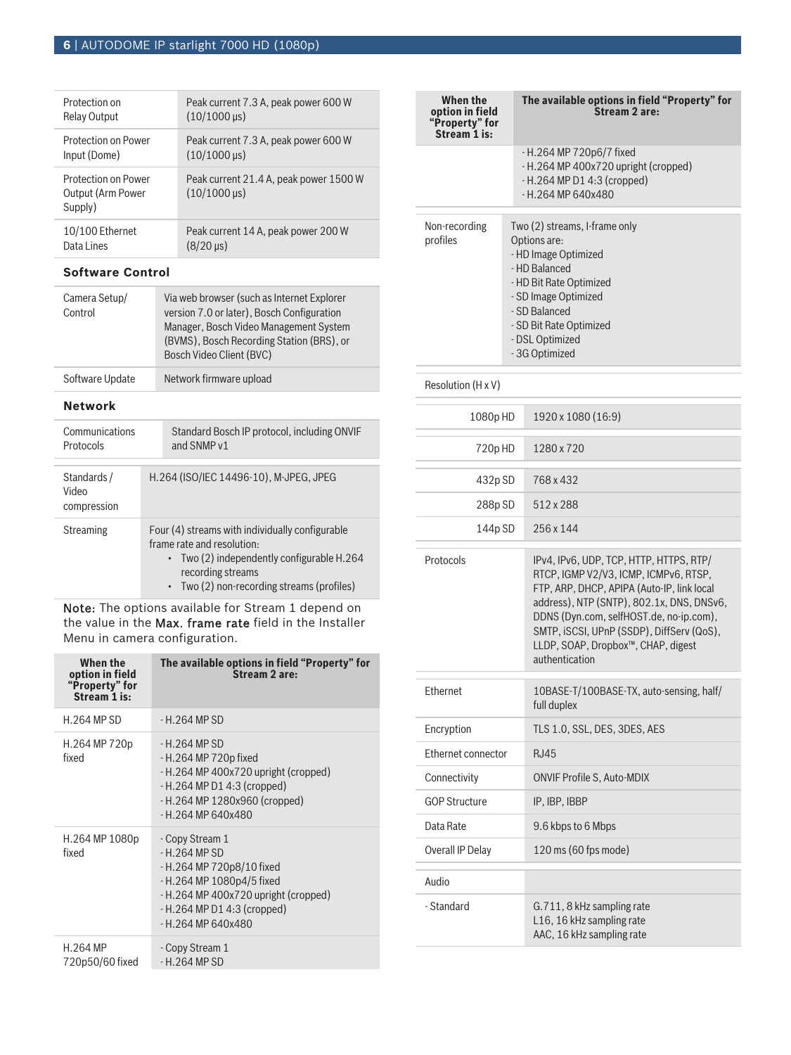| Protection on                                       | Peak current 7.3 A, peak power 600 W                          |
|-----------------------------------------------------|---------------------------------------------------------------|
| <b>Relay Output</b>                                 | $(10/1000 \,\mu s)$                                           |
| Protection on Power                                 | Peak current 7.3 A, peak power 600 W                          |
| Input (Dome)                                        | $(10/1000 \,\mu s)$                                           |
| Protection on Power<br>Output (Arm Power<br>Supply) | Peak current 21.4 A, peak power 1500 W<br>$(10/1000 \,\mu s)$ |
| 10/100 Ethernet                                     | Peak current 14 A, peak power 200 W                           |
| Data Lines                                          | $(8/20 \,\mu s)$                                              |

# **Software Control**

| Camera Setup/<br>Control | Via web browser (such as Internet Explorer<br>version 7.0 or later), Bosch Configuration<br>Manager, Bosch Video Management System<br>(BVMS), Bosch Recording Station (BRS), or<br>Bosch Video Client (BVC) |
|--------------------------|-------------------------------------------------------------------------------------------------------------------------------------------------------------------------------------------------------------|
| Software Update          | Network firmware upload                                                                                                                                                                                     |

# **Network**

| Communications<br>Protocols         | Standard Bosch IP protocol, including ONVIF<br>and SNMP v1 |                                                                                                                                                                                                  |
|-------------------------------------|------------------------------------------------------------|--------------------------------------------------------------------------------------------------------------------------------------------------------------------------------------------------|
| Standards /<br>Video<br>compression |                                                            | H.264 (ISO/IEC 14496-10), M-JPEG, JPEG                                                                                                                                                           |
| Streaming                           |                                                            | Four (4) streams with individually configurable<br>frame rate and resolution:<br>• Two (2) independently configurable H.264<br>recording streams<br>• Two $(2)$ non-recording streams (profiles) |

Note: The options available for Stream 1 depend on the value in the Max. frame rate field in the Installer Menu in camera configuration.

| When the<br>option in field<br>"Property" for<br>Stream 1 is: | The available options in field "Property" for<br>Stream 2 are:                                                                                                                                        |
|---------------------------------------------------------------|-------------------------------------------------------------------------------------------------------------------------------------------------------------------------------------------------------|
| H.264 MP SD                                                   | - H. 264 MP SD                                                                                                                                                                                        |
| H.264 MP 720p<br>fixed                                        | $-H.264 MP SD$<br>- H.264 MP 720p fixed<br>- H.264 MP 400x720 upright (cropped)<br>$-H.264$ MP D1 4:3 (cropped)<br>- H.264 MP 1280x960 (cropped)<br>$- H.264 MP 640x480$                              |
| H.264 MP 1080p<br>fixed                                       | - Copy Stream 1<br>$-H$ 264 MP SD<br>- H.264 MP 720p8/10 fixed<br>- H.264 MP 1080p4/5 fixed<br>- H.264 MP 400x720 upright (cropped)<br>- H.264 MP D1 4:3 (cropped)<br>$-$ H <sub>264</sub> MP 640x480 |
| H.264 MP<br>720p50/60 fixed                                   | - Copy Stream 1<br>$-H.264 MP SD$                                                                                                                                                                     |

| When the<br>option in field<br>"Property" for<br>Stream 1 is: | The available options in field "Property" for<br>Stream 2 are:                                                                                                                                                             |
|---------------------------------------------------------------|----------------------------------------------------------------------------------------------------------------------------------------------------------------------------------------------------------------------------|
|                                                               | - H.264 MP 720p6/7 fixed<br>- H.264 MP 400x720 upright (cropped)<br>$-H.264$ MP D1 4:3 (cropped)<br>$-$ H.264 MP 640x480                                                                                                   |
| Non-recording<br>profiles                                     | Two (2) streams, I-frame only<br>Options are:<br>- HD Image Optimized<br>- HD Balanced<br>- HD Bit Rate Optimized<br>- SD Image Optimized<br>- SD Balanced<br>- SD Bit Rate Optimized<br>- DSL Optimized<br>- 3G Optimized |

| Resolution (H x V)   |                                                                                                                                                                                                                                                                                                                             |  |
|----------------------|-----------------------------------------------------------------------------------------------------------------------------------------------------------------------------------------------------------------------------------------------------------------------------------------------------------------------------|--|
| 1080p HD             | 1920 x 1080 (16:9)                                                                                                                                                                                                                                                                                                          |  |
| 720pHD               | 1280 x 720                                                                                                                                                                                                                                                                                                                  |  |
| 432p SD              | 768 x 432                                                                                                                                                                                                                                                                                                                   |  |
| 288p SD              | 512 x 288                                                                                                                                                                                                                                                                                                                   |  |
| 144p SD              | 256 x 144                                                                                                                                                                                                                                                                                                                   |  |
| Protocols            | IPv4, IPv6, UDP, TCP, HTTP, HTTPS, RTP/<br>RTCP, IGMP V2/V3, ICMP, ICMPv6, RTSP,<br>FTP, ARP, DHCP, APIPA (Auto-IP, link local<br>address), NTP (SNTP), 802.1x, DNS, DNSv6,<br>DDNS (Dyn.com, selfHOST.de, no-ip.com),<br>SMTP, iSCSI, UPnP (SSDP), DiffServ (QoS),<br>LLDP, SOAP, Dropbox™, CHAP, digest<br>authentication |  |
| Ethernet             | 10BASE-T/100BASE-TX, auto-sensing, half/<br>full duplex                                                                                                                                                                                                                                                                     |  |
| Encryption           | TLS 1.0, SSL, DES, 3DES, AES                                                                                                                                                                                                                                                                                                |  |
| Ethernet connector   | R.I45                                                                                                                                                                                                                                                                                                                       |  |
| Connectivity         | <b>ONVIF Profile S. Auto-MDIX</b>                                                                                                                                                                                                                                                                                           |  |
| <b>GOP Structure</b> | IP, IBP, IBBP                                                                                                                                                                                                                                                                                                               |  |
| Data Rate            | 9.6 kbps to 6 Mbps                                                                                                                                                                                                                                                                                                          |  |
| Overall IP Delay     | $120 \text{ ms}$ (60 fps mode)                                                                                                                                                                                                                                                                                              |  |
| Audio                |                                                                                                                                                                                                                                                                                                                             |  |
| - Standard           | G.711, 8 kHz sampling rate<br>L16, 16 kHz sampling rate<br>AAC, 16 kHz sampling rate                                                                                                                                                                                                                                        |  |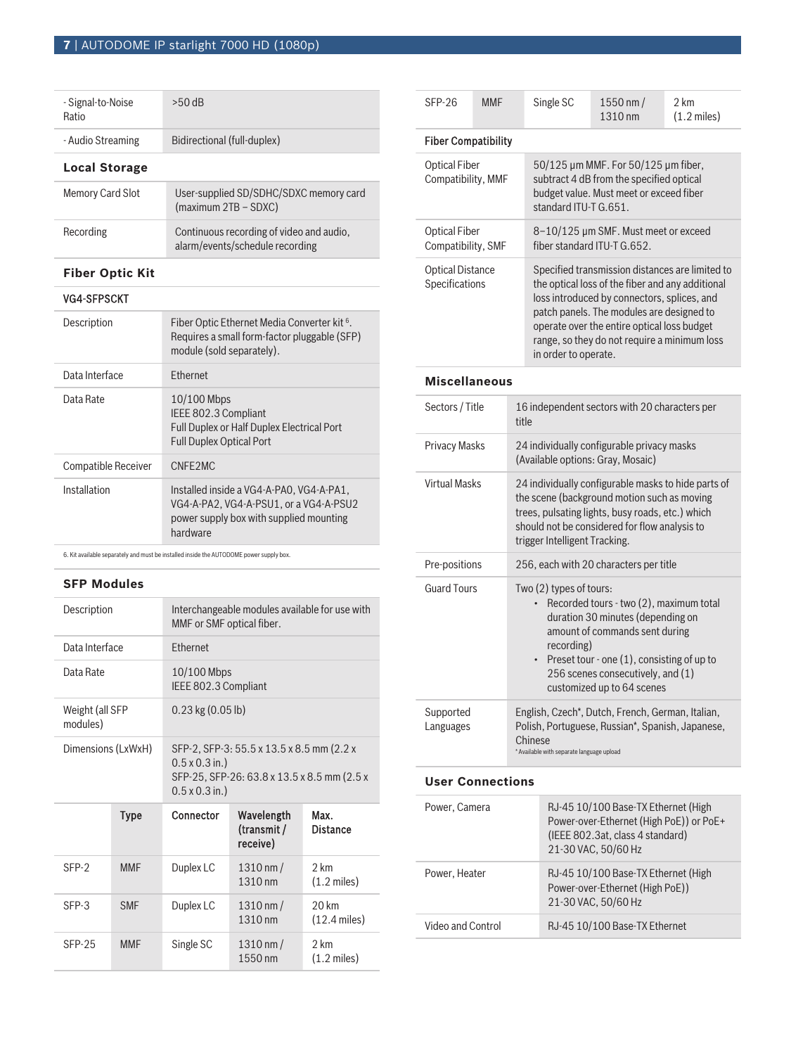| - Signal-to-Noise<br>Ratio | $>50$ dB                                                                    |  |
|----------------------------|-----------------------------------------------------------------------------|--|
| - Audio Streaming          | Bidirectional (full-duplex)                                                 |  |
| <b>Local Storage</b>       |                                                                             |  |
| <b>Memory Card Slot</b>    | User-supplied SD/SDHC/SDXC memory card<br>(maximum 2TB - SDXC)              |  |
| Recording                  | Continuous recording of video and audio,<br>alarm/events/schedule recording |  |

# **Fiber Optic Kit**

# VG4-SFPSCKT

| Description                | Fiber Optic Ethernet Media Converter kit <sup>6</sup> .<br>Requires a small form-factor pluggable (SFP)<br>module (sold separately).      |
|----------------------------|-------------------------------------------------------------------------------------------------------------------------------------------|
| Data Interface             | <b>Fthernet</b>                                                                                                                           |
| Data Rate                  | $10/100$ Mbps<br>IEEE 802.3 Compliant<br><b>Full Duplex or Half Duplex Electrical Port</b><br><b>Full Duplex Optical Port</b>             |
| <b>Compatible Receiver</b> | CNFF <sub>2</sub> MC                                                                                                                      |
| Installation               | Installed inside a VG4-A-PAO, VG4-A-PA1,<br>VG4-A-PA2, VG4-A-PSU1, or a VG4-A-PSU2<br>power supply box with supplied mounting<br>hardware |

6. Kit available separately and must be installed inside the AUTODOME power supply box.

# **SFP Modules**

|                 | Interchangeable modules available for use with<br>MMF or SMF optical fiber.                                                                |                                            |  |  |
|-----------------|--------------------------------------------------------------------------------------------------------------------------------------------|--------------------------------------------|--|--|
| <b>Fthernet</b> |                                                                                                                                            |                                            |  |  |
|                 | 10/100 Mbps<br>IEEE 802.3 Compliant                                                                                                        |                                            |  |  |
|                 | $0.23$ kg $(0.05$ lb)                                                                                                                      |                                            |  |  |
|                 | SFP-2, SFP-3: 55.5 x 13.5 x 8.5 mm (2.2 x<br>$0.5 \times 0.3$ in.)<br>SFP-25, SFP-26: 63.8 x 13.5 x 8.5 mm (2.5 x<br>$0.5 \times 0.3$ in.) |                                            |  |  |
| Connector       | Wavelength<br>(transmit /<br>receive)                                                                                                      | Max.<br><b>Distance</b>                    |  |  |
| Duplex LC       | $1310 \, \text{nm}$ /<br>1310 nm                                                                                                           | 2 km<br>$(1.2 \text{ miles})$              |  |  |
| Duplex LC       | $1310 \, \text{nm}$ /<br>1310 nm                                                                                                           | $20 \mathrm{km}$<br>$(12.4 \text{ miles})$ |  |  |
| Single SC       | $1310 \, \text{nm}$ /<br>1550 nm                                                                                                           | 2 km<br>$(1.2 \text{ miles})$              |  |  |
|                 | Dimensions (LxWxH)                                                                                                                         |                                            |  |  |

| <b>SFP-26</b>                              | <b>MMF</b>                                | Single SC                                                                                                                                                                                                                                                                | 1550 nm /<br>1310 nm                                                                                                                                                                                                                                                                                                   | 2 km<br>$(1.2 \text{ miles})$ |  |
|--------------------------------------------|-------------------------------------------|--------------------------------------------------------------------------------------------------------------------------------------------------------------------------------------------------------------------------------------------------------------------------|------------------------------------------------------------------------------------------------------------------------------------------------------------------------------------------------------------------------------------------------------------------------------------------------------------------------|-------------------------------|--|
| <b>Fiber Compatibility</b>                 |                                           |                                                                                                                                                                                                                                                                          |                                                                                                                                                                                                                                                                                                                        |                               |  |
| <b>Optical Fiber</b>                       | Compatibility, MMF                        |                                                                                                                                                                                                                                                                          | 50/125 µm MMF. For 50/125 µm fiber,<br>subtract 4 dB from the specified optical<br>budget value. Must meet or exceed fiber<br>standard ITU-T G.651.                                                                                                                                                                    |                               |  |
| <b>Optical Fiber</b><br>Compatibility, SMF |                                           | 8-10/125 µm SMF. Must meet or exceed<br>fiber standard ITU-T G.652.                                                                                                                                                                                                      |                                                                                                                                                                                                                                                                                                                        |                               |  |
|                                            | <b>Optical Distance</b><br>Specifications |                                                                                                                                                                                                                                                                          | Specified transmission distances are limited to<br>the optical loss of the fiber and any additional<br>loss introduced by connectors, splices, and<br>patch panels. The modules are designed to<br>operate over the entire optical loss budget<br>range, so they do not require a minimum loss<br>in order to operate. |                               |  |
| <b>Miscellaneous</b>                       |                                           |                                                                                                                                                                                                                                                                          |                                                                                                                                                                                                                                                                                                                        |                               |  |
| Sectors / Title                            | title                                     | 16 independent sectors with 20 characters per                                                                                                                                                                                                                            |                                                                                                                                                                                                                                                                                                                        |                               |  |
| <b>Privacy Masks</b>                       |                                           | 24 individually configurable privacy masks<br>(Available options: Gray, Mosaic)                                                                                                                                                                                          |                                                                                                                                                                                                                                                                                                                        |                               |  |
| <b>Virtual Masks</b>                       |                                           | 24 individually configurable masks to hide parts of<br>the scene (background motion such as moving<br>trees, pulsating lights, busy roads, etc.) which<br>should not be considered for flow analysis to<br>trigger Intelligent Tracking.                                 |                                                                                                                                                                                                                                                                                                                        |                               |  |
| Pre-positions                              |                                           | 256, each with 20 characters per title                                                                                                                                                                                                                                   |                                                                                                                                                                                                                                                                                                                        |                               |  |
| <b>Guard Tours</b>                         |                                           | Two (2) types of tours:<br>Recorded tours - two (2), maximum total<br>duration 30 minutes (depending on<br>amount of commands sent during<br>recording)<br>Preset tour - one (1), consisting of up to<br>256 scenes consecutively, and (1)<br>customized up to 64 scenes |                                                                                                                                                                                                                                                                                                                        |                               |  |
| Supported<br>Languages                     |                                           | English, Czech*, Dutch, French, German, Italian,<br>Polish, Portuguese, Russian*, Spanish, Japanese,<br>Chinese<br>* Available with separate language upload                                                                                                             |                                                                                                                                                                                                                                                                                                                        |                               |  |
| <b>User Connections</b>                    |                                           |                                                                                                                                                                                                                                                                          |                                                                                                                                                                                                                                                                                                                        |                               |  |
|                                            | Power, Camera                             |                                                                                                                                                                                                                                                                          | RJ-45 10/100 Base-TX Ethernet (High<br>Power-over-Ethernet (High PoE)) or PoE+<br>(IEEE 802.3at, class 4 standard)<br>21-30 VAC, 50/60 Hz                                                                                                                                                                              |                               |  |
|                                            | Power, Heater                             |                                                                                                                                                                                                                                                                          | RJ-45 10/100 Base-TX Ethernet (High<br>Power-over-Ethernet (High PoE))<br>21-30 VAC, 50/60 Hz                                                                                                                                                                                                                          |                               |  |

Video and Control RJ-45 10/100 Base-TX Ethernet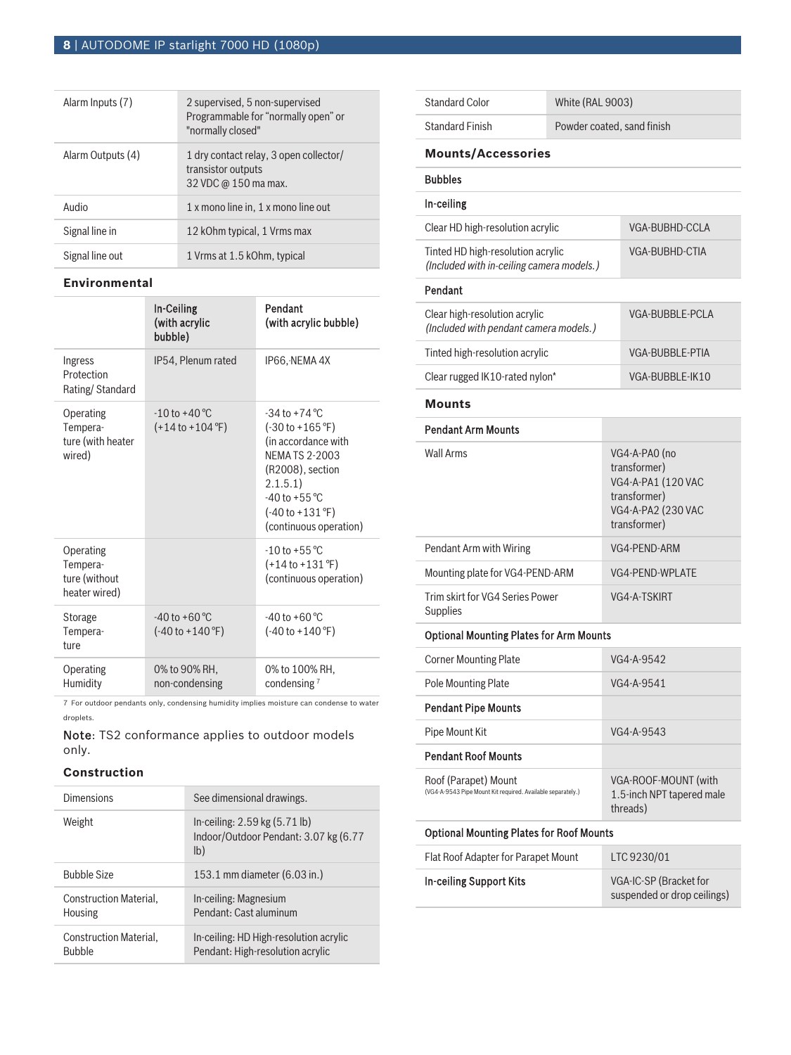| Alarm Inputs (7)  | 2 supervised, 5 non-supervised<br>Programmable for "normally open" or<br>"normally closed" |
|-------------------|--------------------------------------------------------------------------------------------|
| Alarm Outputs (4) | 1 dry contact relay, 3 open collector/<br>transistor outputs<br>32 VDC @ 150 ma max.       |
| Audio             | 1 x mono line in, 1 x mono line out                                                        |
| Signal line in    | 12 kOhm typical, 1 Vrms max                                                                |
| Signal line out   | 1 Vrms at 1.5 kOhm, typical                                                                |

### **Environmental**

|                                                         | <b>In-Ceiling</b><br>(with acrylic<br>bubble)                          | Pendant<br>(with acrylic bubble)                                                                                                                                                                                               |
|---------------------------------------------------------|------------------------------------------------------------------------|--------------------------------------------------------------------------------------------------------------------------------------------------------------------------------------------------------------------------------|
| Ingress<br>Protection<br>Rating/Standard                | IP54, Plenum rated                                                     | IP66, NEMA 4X                                                                                                                                                                                                                  |
| Operating<br>Tempera-<br>ture (with heater<br>wired)    | $-10$ to $+40$ °C<br>$(+14 \text{ to } +104 \text{ }^{\circ}\text{F})$ | $-34$ to $+74$ °C<br>$(-30 \text{ to } +165 \text{ °F})$<br>(in accordance with<br><b>NEMA TS 2-2003</b><br>(R2008), section<br>2.1.5.1)<br>$-40$ to $+55$ °C<br>$(-40 \text{ to } +131 \text{ °F})$<br>(continuous operation) |
| Operating<br>Tempera-<br>ture (without<br>heater wired) |                                                                        | $-10$ to $+55$ °C<br>$(+14 \text{ to } +131 \text{ }^{\circ}\text{F})$<br>(continuous operation)                                                                                                                               |
| Storage<br>Tempera-<br>ture                             | $-40$ to $+60$ °C<br>$(-40 \text{ to } +140 \text{ °F})$               | $-40$ to $+60$ °C<br>$(-40 \text{ to } +140 \text{ °F})$                                                                                                                                                                       |
| Operating<br>Humidity                                   | 0% to 90% RH.<br>non-condensing                                        | 0% to 100% RH,<br>condensing <sup>7</sup>                                                                                                                                                                                      |

7 For outdoor pendants only, condensing humidity implies moisture can condense to water droplets.

Note: TS2 conformance applies to outdoor models only.

# **Construction**

| Dimensions                              | See dimensional drawings.                                                                 |
|-----------------------------------------|-------------------------------------------------------------------------------------------|
| Weight                                  | In-ceiling: $2.59$ kg $(5.71$ lb)<br>Indoor/Outdoor Pendant: 3.07 kg (6.77<br>$ b\rangle$ |
| <b>Bubble Size</b>                      | 153.1 mm diameter (6.03 in.)                                                              |
| Construction Material,<br>Housing       | In-ceiling: Magnesium<br>Pendant: Cast aluminum                                           |
| Construction Material,<br><b>Bubble</b> | In-ceiling: HD High-resolution acrylic<br>Pendant: High-resolution acrylic                |

| <b>Standard Finish</b>                                                              | Powder coated, sand finish |                                                                                                           |                                                       |  |  |
|-------------------------------------------------------------------------------------|----------------------------|-----------------------------------------------------------------------------------------------------------|-------------------------------------------------------|--|--|
| <b>Mounts/Accessories</b>                                                           |                            |                                                                                                           |                                                       |  |  |
| <b>Bubbles</b>                                                                      |                            |                                                                                                           |                                                       |  |  |
| In-ceiling                                                                          |                            |                                                                                                           |                                                       |  |  |
| Clear HD high-resolution acrylic                                                    |                            |                                                                                                           | VGA-BUBHD-CCLA                                        |  |  |
| Tinted HD high-resolution acrylic<br>(Included with in-ceiling camera models.)      |                            |                                                                                                           | VGA-BUBHD-CTIA                                        |  |  |
| Pendant                                                                             |                            |                                                                                                           |                                                       |  |  |
| Clear high-resolution acrylic<br>(Included with pendant camera models.)             |                            |                                                                                                           | <b>VGA-BUBBLE-PCLA</b>                                |  |  |
| Tinted high-resolution acrylic                                                      |                            |                                                                                                           | VGA-BUBBLE-PTIA                                       |  |  |
| Clear rugged IK10-rated nylon*                                                      |                            |                                                                                                           | VGA-BUBBLE-IK10                                       |  |  |
| <b>Mounts</b>                                                                       |                            |                                                                                                           |                                                       |  |  |
| <b>Pendant Arm Mounts</b>                                                           |                            |                                                                                                           |                                                       |  |  |
| <b>Wall Arms</b>                                                                    |                            | VG4-A-PA0 (no<br>transformer)<br>VG4-A-PA1 (120 VAC<br>transformer)<br>VG4-A-PA2 (230 VAC<br>transformer) |                                                       |  |  |
| Pendant Arm with Wiring                                                             |                            | VG4-PEND-ARM                                                                                              |                                                       |  |  |
| Mounting plate for VG4-PEND-ARM                                                     |                            | VG4-PEND-WPLATE                                                                                           |                                                       |  |  |
| Trim skirt for VG4 Series Power<br>Supplies                                         |                            | VG4-A-TSKIRT                                                                                              |                                                       |  |  |
| <b>Optional Mounting Plates for Arm Mounts</b>                                      |                            |                                                                                                           |                                                       |  |  |
| <b>Corner Mounting Plate</b>                                                        |                            | VG4-A-9542                                                                                                |                                                       |  |  |
| Pole Mounting Plate                                                                 |                            | VG4-A-9541                                                                                                |                                                       |  |  |
| <b>Pendant Pipe Mounts</b>                                                          |                            |                                                                                                           |                                                       |  |  |
| Pipe Mount Kit                                                                      |                            | VG4-A-9543                                                                                                |                                                       |  |  |
| <b>Pendant Roof Mounts</b>                                                          |                            |                                                                                                           |                                                       |  |  |
| Roof (Parapet) Mount<br>(VG4-A-9543 Pipe Mount Kit required. Available separately.) |                            | VGA-ROOF-MOUNT (with<br>1.5-inch NPT tapered male<br>threads)                                             |                                                       |  |  |
| <b>Optional Mounting Plates for Roof Mounts</b>                                     |                            |                                                                                                           |                                                       |  |  |
| Flat Roof Adapter for Parapet Mount                                                 |                            | LTC 9230/01                                                                                               |                                                       |  |  |
| In-ceiling Support Kits                                                             |                            |                                                                                                           | VGA-IC-SP (Bracket for<br>suspended or drop ceilings) |  |  |

Standard Color White (RAL 9003)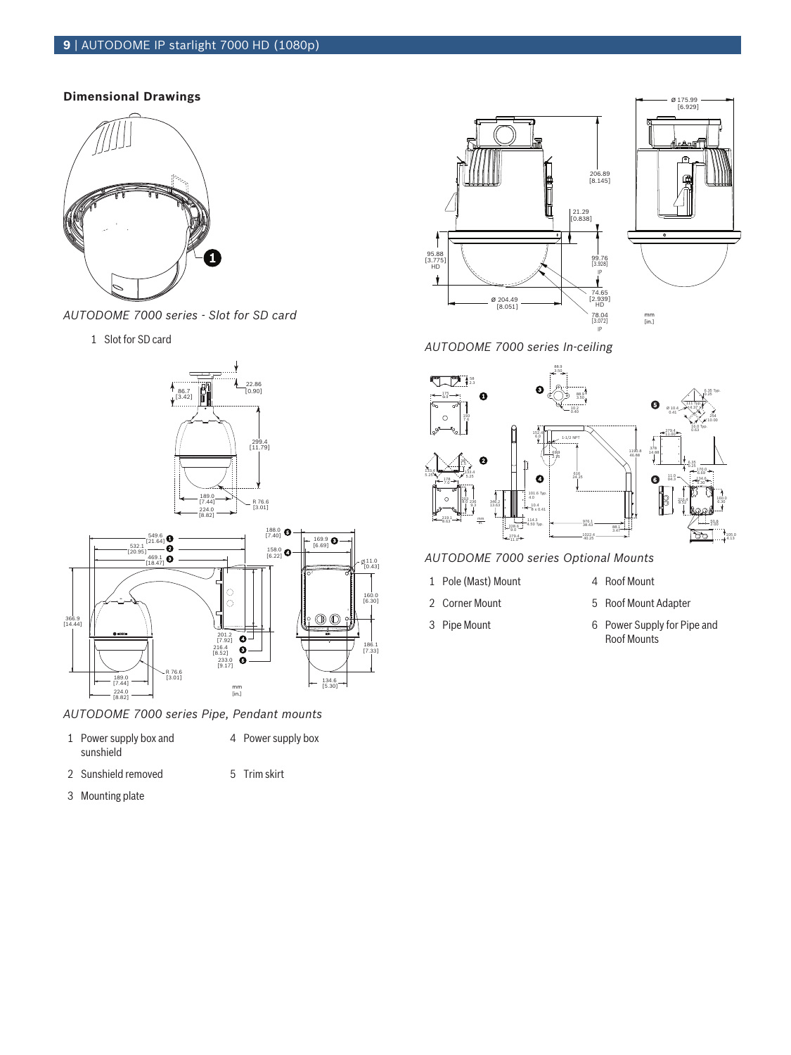# **9** | AUTODOME IP starlight 7000 HD (1080p)

# **Dimensional Drawings**



*AUTODOME 7000 series - Slot for SD card*

1 Slot for SD card





*AUTODOME 7000 series Pipe, Pendant mounts*

- 1 Power supply box and sunshield
- 

4 Power supply box

- 2 Sunshield removed 5 Trim skirt
- 3 Mounting plate





*AUTODOME 7000 series In-ceiling*



*AUTODOME 7000 series Optional Mounts*

- 
- 
- 

11.0 [0.43]

- 1 Pole (Mast) Mount 4 Roof Mount
- 2 Corner Mount 6 6 Roof Mount Adapter
- 3 Pipe Mount 6 Power Supply for Pipe and Roof Mounts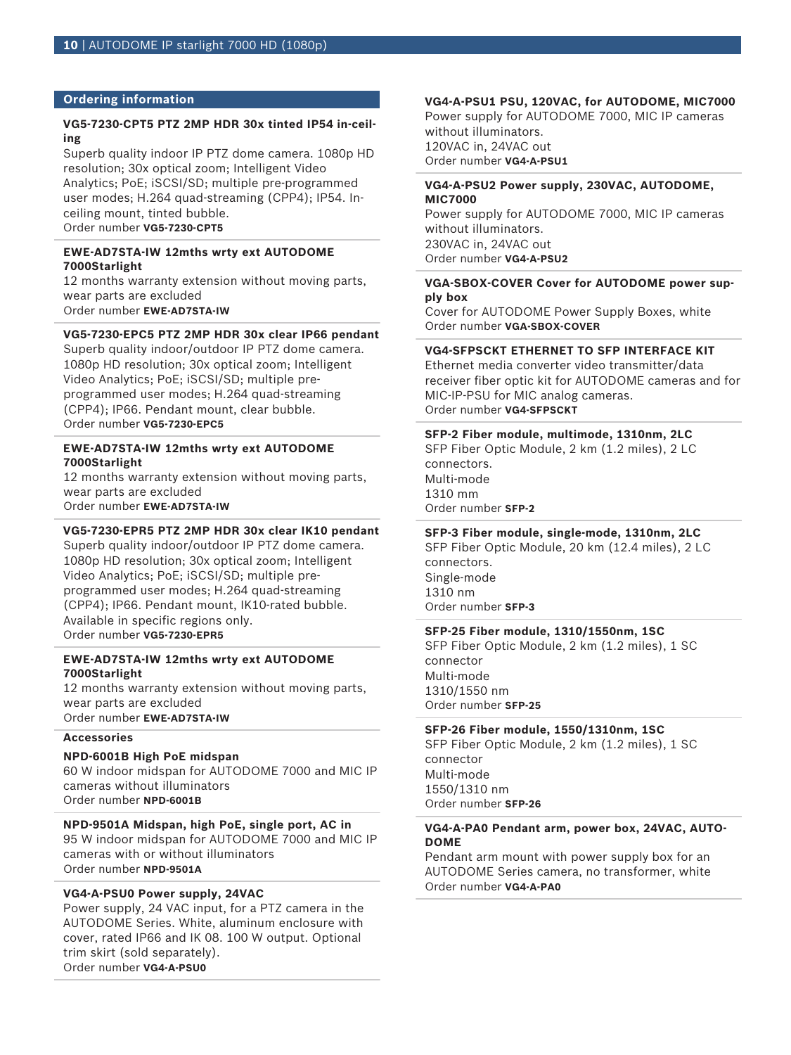### **Ordering information**

## **VG5-7230-CPT5 PTZ 2MP HDR 30x tinted IP54 in-ceiling**

Superb quality indoor IP PTZ dome camera. 1080p HD resolution; 30x optical zoom; Intelligent Video Analytics; PoE; iSCSI/SD; multiple pre-programmed user modes; H.264 quad-streaming (CPP4); IP54. Inceiling mount, tinted bubble. Order number **VG5-7230-CPT5**

# **EWE-AD7STA-IW 12mths wrty ext AUTODOME 7000Starlight**

12 months warranty extension without moving parts, wear parts are excluded Order number **EWE-AD7STA-IW**

# **VG5-7230-EPC5 PTZ 2MP HDR 30x clear IP66 pendant**

Superb quality indoor/outdoor IP PTZ dome camera. 1080p HD resolution; 30x optical zoom; Intelligent Video Analytics; PoE; iSCSI/SD; multiple preprogrammed user modes; H.264 quad-streaming (CPP4); IP66. Pendant mount, clear bubble. Order number **VG5-7230-EPC5**

### **EWE-AD7STA-IW 12mths wrty ext AUTODOME 7000Starlight**

12 months warranty extension without moving parts, wear parts are excluded

Order number **EWE-AD7STA-IW**

# **VG5-7230-EPR5 PTZ 2MP HDR 30x clear IK10 pendant**

Superb quality indoor/outdoor IP PTZ dome camera. 1080p HD resolution; 30x optical zoom; Intelligent Video Analytics; PoE; iSCSI/SD; multiple preprogrammed user modes; H.264 quad-streaming (CPP4); IP66. Pendant mount, IK10-rated bubble. Available in specific regions only. Order number **VG5-7230-EPR5**

### **EWE-AD7STA-IW 12mths wrty ext AUTODOME 7000Starlight**

12 months warranty extension without moving parts, wear parts are excluded Order number **EWE-AD7STA-IW**

# **Accessories**

# **NPD-6001B High PoE midspan**

60 W indoor midspan for AUTODOME 7000 and MIC IP cameras without illuminators Order number **NPD-6001B**

# **NPD-9501A Midspan, high PoE, single port, AC in**

95 W indoor midspan for AUTODOME 7000 and MIC IP cameras with or without illuminators Order number **NPD-9501A**

# **VG4-A-PSU0 Power supply, 24VAC**

Power supply, 24 VAC input, for a PTZ camera in the AUTODOME Series. White, aluminum enclosure with cover, rated IP66 and IK 08. 100 W output. Optional trim skirt (sold separately). Order number **VG4-A-PSU0**

# **VG4-A-PSU1 PSU, 120VAC, for AUTODOME, MIC7000**

Power supply for AUTODOME 7000, MIC IP cameras without illuminators. 120VAC in, 24VAC out Order number **VG4-A-PSU1**

### **VG4-A-PSU2 Power supply, 230VAC, AUTODOME, MIC7000**

Power supply for AUTODOME 7000, MIC IP cameras without illuminators. 230VAC in, 24VAC out Order number **VG4-A-PSU2**

# **VGA-SBOX-COVER Cover for AUTODOME power supply box**

Cover for AUTODOME Power Supply Boxes, white Order number **VGA-SBOX-COVER**

# **VG4-SFPSCKT ETHERNET TO SFP INTERFACE KIT**

Ethernet media converter video transmitter/data receiver fiber optic kit for AUTODOME cameras and for MIC-IP-PSU for MIC analog cameras. Order number **VG4-SFPSCKT**

# **SFP-2 Fiber module, multimode, 1310nm, 2LC**

SFP Fiber Optic Module, 2 km (1.2 miles), 2 LC connectors. Multi-mode 1310 mm Order number **SFP-2**

# **SFP-3 Fiber module, single-mode, 1310nm, 2LC**

SFP Fiber Optic Module, 20 km (12.4 miles), 2 LC connectors. Single-mode 1310 nm Order number **SFP-3**

# **SFP-25 Fiber module, 1310/1550nm, 1SC**

SFP Fiber Optic Module, 2 km (1.2 miles), 1 SC connector Multi-mode 1310/1550 nm Order number **SFP-25**

# **SFP-26 Fiber module, 1550/1310nm, 1SC**

SFP Fiber Optic Module, 2 km (1.2 miles), 1 SC connector Multi-mode 1550/1310 nm Order number **SFP-26**

# **VG4-A-PA0 Pendant arm, power box, 24VAC, AUTO-DOME**

Pendant arm mount with power supply box for an AUTODOME Series camera, no transformer, white Order number **VG4-A-PA0**